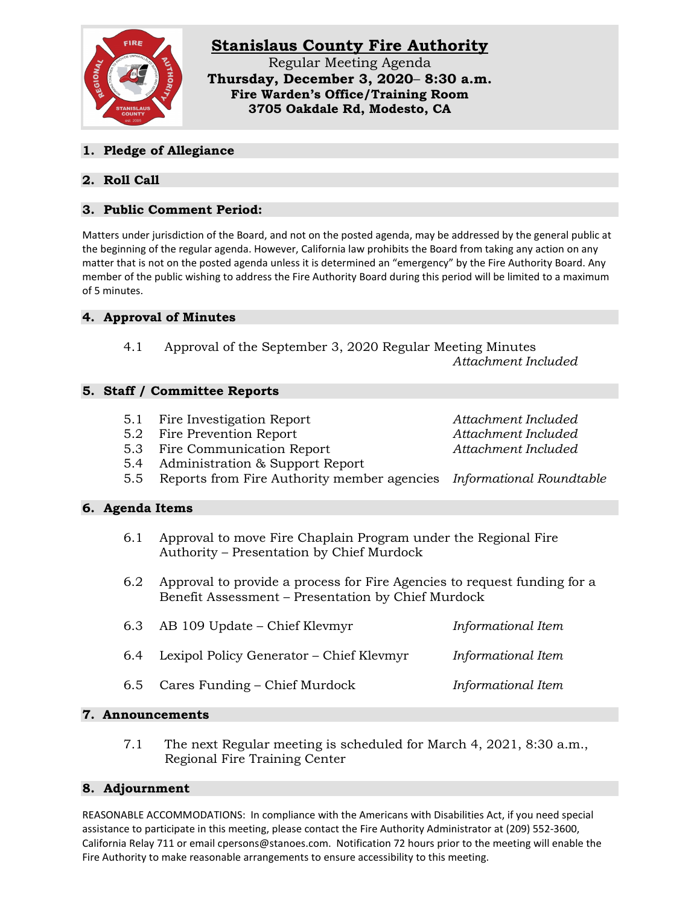

**1. Pledge of Allegiance**

# **2. Roll Call**

### **3. Public Comment Period:**

Matters under jurisdiction of the Board, and not on the posted agenda, may be addressed by the general public at the beginning of the regular agenda. However, California law prohibits the Board from taking any action on any matter that is not on the posted agenda unless it is determined an "emergency" by the Fire Authority Board. Any member of the public wishing to address the Fire Authority Board during this period will be limited to a maximum of 5 minutes.

## **4. Approval of Minutes**

4.1 Approval of the September 3, 2020 Regular Meeting Minutes *Attachment Included*

#### **5. Staff / Committee Reports**

- 5.1 Fire Investigation Report *Attachment Included*
- 5.2 Fire Prevention Report *Attachment Included*
- 5.3 Fire Communication Report *Attachment Included*
- 5.4 Administration & Support Report
- 5.5 Reports from Fire Authority member agencies *Informational Roundtable*

#### **6. Agenda Items**

- 6.1 Approval to move Fire Chaplain Program under the Regional Fire Authority – Presentation by Chief Murdock
- 6.2 Approval to provide a process for Fire Agencies to request funding for a Benefit Assessment – Presentation by Chief Murdock

| 6.3 AB 109 Update – Chief Klevmyr            | Informational Item |
|----------------------------------------------|--------------------|
| 6.4 Lexipol Policy Generator – Chief Klevmyr | Informational Item |
| 6.5 Cares Funding – Chief Murdock            | Informational Item |

#### **7. Announcements**

7.1 The next Regular meeting is scheduled for March 4, 2021, 8:30 a.m., Regional Fire Training Center

#### **8. Adjournment**

REASONABLE ACCOMMODATIONS: In compliance with the Americans with Disabilities Act, if you need special assistance to participate in this meeting, please contact the Fire Authority Administrator at (209) 552-3600, California Relay 711 or email cpersons@stanoes.com. Notification 72 hours prior to the meeting will enable the Fire Authority to make reasonable arrangements to ensure accessibility to this meeting.